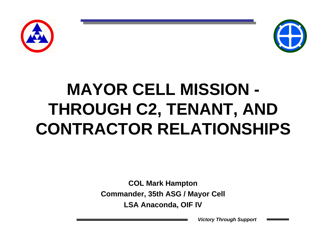



# **MAYOR CELL MISSION - THROUGH C2, TENANT, AND CONTRACTOR RELATIONSHIPS**

**COL Mark Hampton Commander, 35th ASG / Mayor Cell LSA Anaconda, OIF IV**

*Victory Through Support*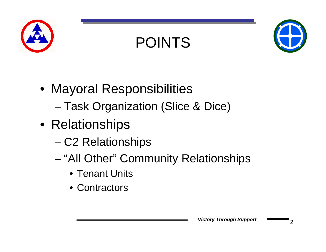

## POINTS



- Mayoral Responsibilities –Task Organization (Slice & Dice)
- Relationships
	- and the state of the state C2 Relationships
	- – "All Other" Community Relationships
		- Tenant Units
		- Contractors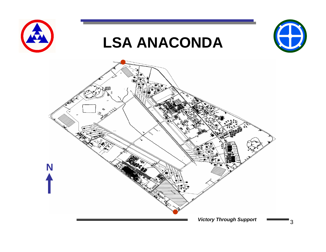



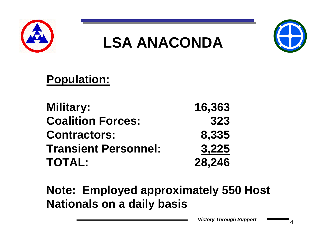



### **Population:**

| <b>Military:</b>            | 16,363 |
|-----------------------------|--------|
| <b>Coalition Forces:</b>    | 323    |
| <b>Contractors:</b>         | 8,335  |
| <b>Transient Personnel:</b> | 3,225  |
| <b>TOTAL:</b>               | 28,246 |

**Note: Employed approximately 550 Host Nationals on a daily basis**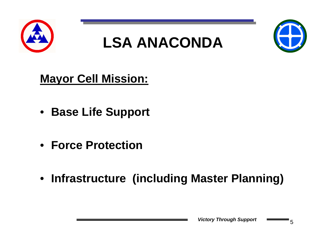



#### **Mayor Cell Mission:**

- **Base Life Support**
- **Force Protection**
- **Infrastructure (including Master Planning)**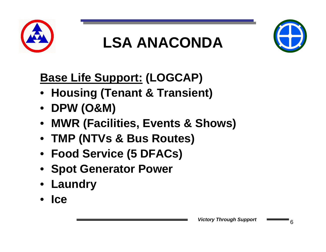



### **Base Life Support: (LOGCAP)**

- **Housing (Tenant & Transient)**
- **DPW (O&M)**
- **MWR (Facilities, Events & Shows)**
- **TMP (NTVs & Bus Routes)**
- **Food Service (5 DFACs)**
- **Spot Generator Power**
- **Laundry**
- **Ice**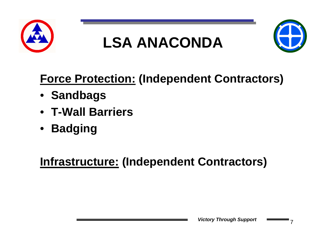



### **Force Protection: (Independent Contractors)**

- **Sandbags**
- **T-Wall Barriers**
- **Badging**

#### **Infrastructure: (Independent Contractors)**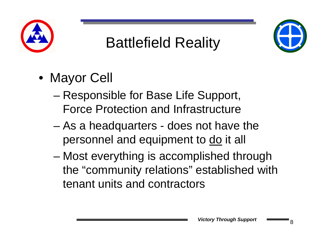

## Battlefield Reality



- Mayor Cell
	- – Responsible for Base Life Support, Force Protection and Infrastructure
	- and the state of the state As a headquarters - does not have the personnel and equipment to do it all
	- – Most everything is accomplished through the "community relations" established with tenant units and contractors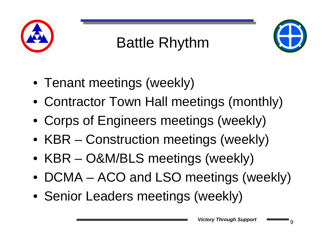

# Battle Rhythm



- Tenant meetings (weekly)
- Contractor Town Hall meetings (monthly)
- Corps of Engineers meetings (weekly)
- KBR Construction meetings (weekly)
- KBR O&M/BLS meetings (weekly)
- DCMA ACO and LSO meetings (weekly)
- Senior Leaders meetings (weekly)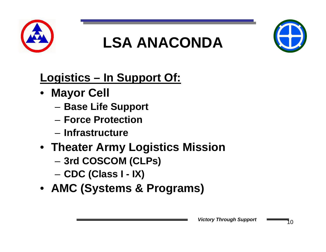



### **Logistics – In Support Of:**

- **Mayor Cell**
	- –**Base Life Support**
	- **Force Protection**
	- **Infrastructure**
- **Theater Army Logistics Mission**
	- and the state of the **3rd COSCOM (CLPs)**
	- –**CDC (Class I - IX)**
- **AMC (Systems & Programs)**